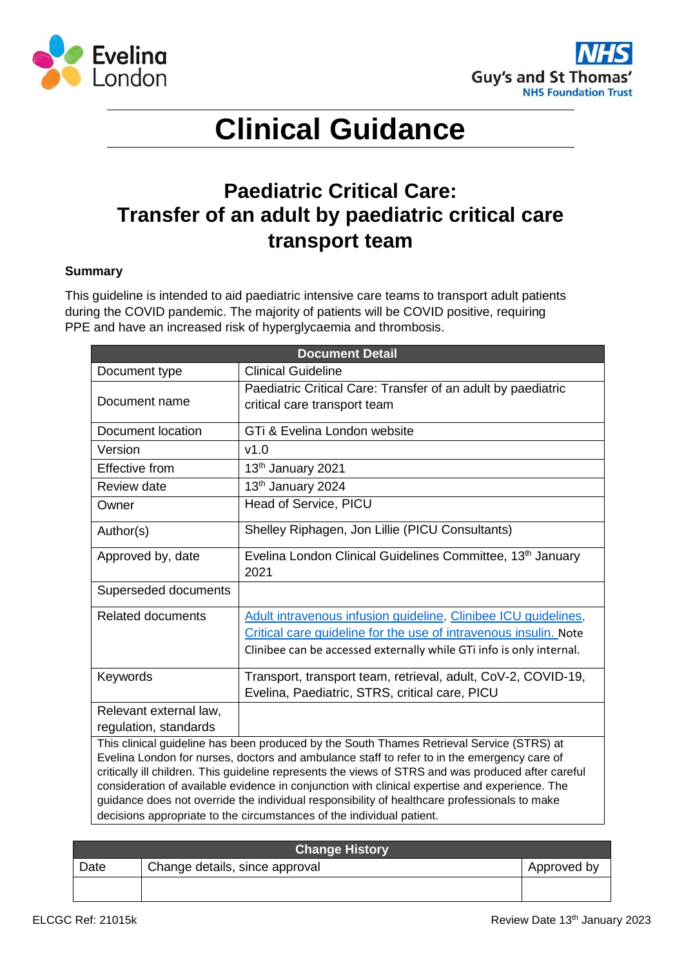



# **Clinical Guidance**

## **Paediatric Critical Care: Transfer of an adult by paediatric critical care transport team**

#### **Summary**

This guideline is intended to aid paediatric intensive care teams to transport adult patients during the COVID pandemic. The majority of patients will be COVID positive, requiring PPE and have an increased risk of hyperglycaemia and thrombosis.

| <b>Document Detail</b>                                                                                                                                                                                                                                                                                                                                                                                                                                                                                                                                                     |                                                                                                                                                                                                            |  |
|----------------------------------------------------------------------------------------------------------------------------------------------------------------------------------------------------------------------------------------------------------------------------------------------------------------------------------------------------------------------------------------------------------------------------------------------------------------------------------------------------------------------------------------------------------------------------|------------------------------------------------------------------------------------------------------------------------------------------------------------------------------------------------------------|--|
| Document type                                                                                                                                                                                                                                                                                                                                                                                                                                                                                                                                                              | <b>Clinical Guideline</b>                                                                                                                                                                                  |  |
| Document name                                                                                                                                                                                                                                                                                                                                                                                                                                                                                                                                                              | Paediatric Critical Care: Transfer of an adult by paediatric<br>critical care transport team                                                                                                               |  |
| Document location                                                                                                                                                                                                                                                                                                                                                                                                                                                                                                                                                          | GTi & Evelina London website                                                                                                                                                                               |  |
| Version                                                                                                                                                                                                                                                                                                                                                                                                                                                                                                                                                                    | v1.0                                                                                                                                                                                                       |  |
| Effective from                                                                                                                                                                                                                                                                                                                                                                                                                                                                                                                                                             | 13th January 2021                                                                                                                                                                                          |  |
| Review date                                                                                                                                                                                                                                                                                                                                                                                                                                                                                                                                                                | 13th January 2024                                                                                                                                                                                          |  |
| Owner                                                                                                                                                                                                                                                                                                                                                                                                                                                                                                                                                                      | Head of Service, PICU                                                                                                                                                                                      |  |
| Author(s)                                                                                                                                                                                                                                                                                                                                                                                                                                                                                                                                                                  | Shelley Riphagen, Jon Lillie (PICU Consultants)                                                                                                                                                            |  |
| Approved by, date                                                                                                                                                                                                                                                                                                                                                                                                                                                                                                                                                          | Evelina London Clinical Guidelines Committee, 13th January<br>2021                                                                                                                                         |  |
| Superseded documents                                                                                                                                                                                                                                                                                                                                                                                                                                                                                                                                                       |                                                                                                                                                                                                            |  |
| <b>Related documents</b>                                                                                                                                                                                                                                                                                                                                                                                                                                                                                                                                                   | Adult intravenous infusion guideline, Clinibee ICU guidelines,<br>Critical care guideline for the use of intravenous insulin. Note<br>Clinibee can be accessed externally while GTi info is only internal. |  |
| Keywords                                                                                                                                                                                                                                                                                                                                                                                                                                                                                                                                                                   | Transport, transport team, retrieval, adult, CoV-2, COVID-19,<br>Evelina, Paediatric, STRS, critical care, PICU                                                                                            |  |
| Relevant external law,<br>regulation, standards                                                                                                                                                                                                                                                                                                                                                                                                                                                                                                                            |                                                                                                                                                                                                            |  |
| This clinical guideline has been produced by the South Thames Retrieval Service (STRS) at<br>Evelina London for nurses, doctors and ambulance staff to refer to in the emergency care of<br>critically ill children. This guideline represents the views of STRS and was produced after careful<br>consideration of available evidence in conjunction with clinical expertise and experience. The<br>guidance does not override the individual responsibility of healthcare professionals to make<br>decisions appropriate to the circumstances of the individual patient. |                                                                                                                                                                                                            |  |

| <b>Change History</b> |                                |             |  |
|-----------------------|--------------------------------|-------------|--|
| Date                  | Change details, since approval | Approved by |  |
|                       |                                |             |  |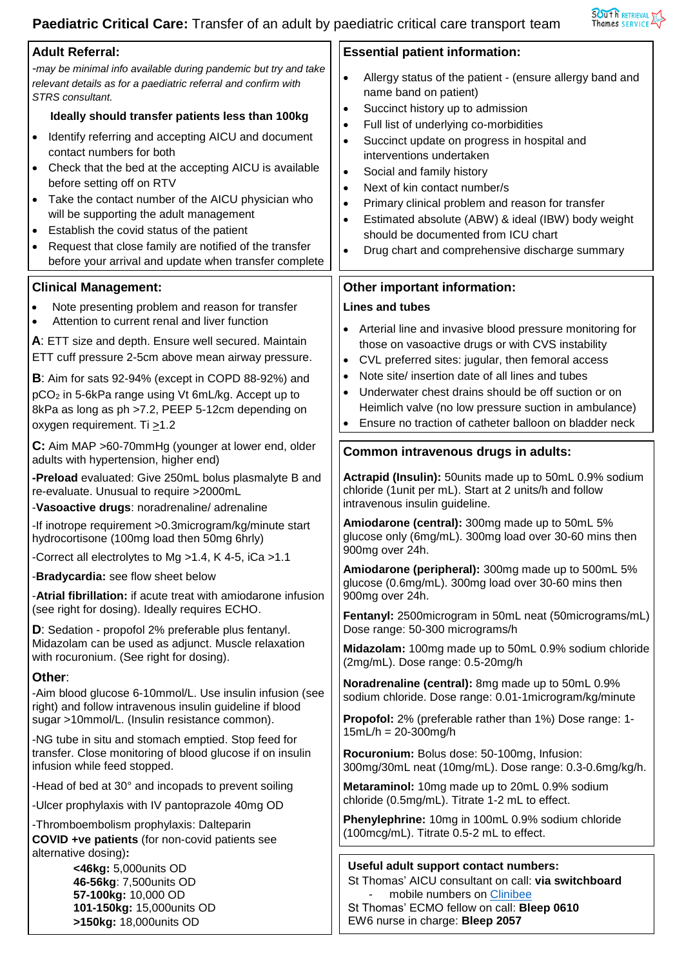### **Paediatric Critical Care:** Transfer of an adult by paediatric critical care transport team



| <b>Adult Referral:</b>                                                                                                                                                                                                                                                                                                                                                                                                                                                                                                                                                                                                                                                                   | <b>Essential patient information:</b>                                                                                                                                                                                                                                                                                                                                                                                                                                                                                                                                                                                           |  |
|------------------------------------------------------------------------------------------------------------------------------------------------------------------------------------------------------------------------------------------------------------------------------------------------------------------------------------------------------------------------------------------------------------------------------------------------------------------------------------------------------------------------------------------------------------------------------------------------------------------------------------------------------------------------------------------|---------------------------------------------------------------------------------------------------------------------------------------------------------------------------------------------------------------------------------------------------------------------------------------------------------------------------------------------------------------------------------------------------------------------------------------------------------------------------------------------------------------------------------------------------------------------------------------------------------------------------------|--|
| -may be minimal info available during pandemic but try and take<br>relevant details as for a paediatric referral and confirm with<br>STRS consultant.<br>Ideally should transfer patients less than 100kg<br>Identify referring and accepting AICU and document<br>$\bullet$<br>contact numbers for both<br>Check that the bed at the accepting AICU is available<br>before setting off on RTV<br>Take the contact number of the AICU physician who<br>$\bullet$<br>will be supporting the adult management<br>Establish the covid status of the patient<br>$\bullet$<br>Request that close family are notified of the transfer<br>before your arrival and update when transfer complete | $\bullet$<br>Allergy status of the patient - (ensure allergy band and<br>name band on patient)<br>Succinct history up to admission<br>$\bullet$<br>Full list of underlying co-morbidities<br>$\bullet$<br>Succinct update on progress in hospital and<br>$\bullet$<br>interventions undertaken<br>Social and family history<br>$\bullet$<br>Next of kin contact number/s<br>$\bullet$<br>Primary clinical problem and reason for transfer<br>$\bullet$<br>Estimated absolute (ABW) & ideal (IBW) body weight<br>$\bullet$<br>should be documented from ICU chart<br>Drug chart and comprehensive discharge summary<br>$\bullet$ |  |
| <b>Clinical Management:</b>                                                                                                                                                                                                                                                                                                                                                                                                                                                                                                                                                                                                                                                              | Other important information:                                                                                                                                                                                                                                                                                                                                                                                                                                                                                                                                                                                                    |  |
| Note presenting problem and reason for transfer                                                                                                                                                                                                                                                                                                                                                                                                                                                                                                                                                                                                                                          | <b>Lines and tubes</b>                                                                                                                                                                                                                                                                                                                                                                                                                                                                                                                                                                                                          |  |
| Attention to current renal and liver function<br>A: ETT size and depth. Ensure well secured. Maintain<br>ETT cuff pressure 2-5cm above mean airway pressure.<br>B: Aim for sats 92-94% (except in COPD 88-92%) and<br>pCO <sub>2</sub> in 5-6kPa range using Vt 6mL/kg. Accept up to<br>8kPa as long as ph >7.2, PEEP 5-12cm depending on<br>oxygen requirement. Ti >1.2                                                                                                                                                                                                                                                                                                                 | Arterial line and invasive blood pressure monitoring for<br>those on vasoactive drugs or with CVS instability<br>CVL preferred sites: jugular, then femoral access<br>$\bullet$<br>Note site/ insertion date of all lines and tubes<br>$\bullet$<br>Underwater chest drains should be off suction or on<br>Heimlich valve (no low pressure suction in ambulance)<br>Ensure no traction of catheter balloon on bladder neck                                                                                                                                                                                                      |  |
| C: Aim MAP >60-70mmHg (younger at lower end, older<br>adults with hypertension, higher end)                                                                                                                                                                                                                                                                                                                                                                                                                                                                                                                                                                                              | Common intravenous drugs in adults:                                                                                                                                                                                                                                                                                                                                                                                                                                                                                                                                                                                             |  |
| -Preload evaluated: Give 250mL bolus plasmalyte B and<br>re-evaluate. Unusual to require >2000mL<br>-Vasoactive drugs: noradrenaline/adrenaline                                                                                                                                                                                                                                                                                                                                                                                                                                                                                                                                          | Actrapid (Insulin): 50 units made up to 50mL 0.9% sodium<br>chloride (1 unit per mL). Start at 2 units/h and follow<br>intravenous insulin guideline.                                                                                                                                                                                                                                                                                                                                                                                                                                                                           |  |
| -If inotrope requirement > 0.3 microgram/kg/minute start<br>hydrocortisone (100mg load then 50mg 6hrly)                                                                                                                                                                                                                                                                                                                                                                                                                                                                                                                                                                                  | Amiodarone (central): 300mg made up to 50mL 5%<br>glucose only (6mg/mL). 300mg load over 30-60 mins then<br>900mg over 24h.                                                                                                                                                                                                                                                                                                                                                                                                                                                                                                     |  |
| -Correct all electrolytes to Mg >1.4, K 4-5, iCa >1.1                                                                                                                                                                                                                                                                                                                                                                                                                                                                                                                                                                                                                                    | Amiodarone (peripheral): 300mg made up to 500mL 5%                                                                                                                                                                                                                                                                                                                                                                                                                                                                                                                                                                              |  |
| -Bradycardia: see flow sheet below<br>-Atrial fibrillation: if acute treat with amiodarone infusion                                                                                                                                                                                                                                                                                                                                                                                                                                                                                                                                                                                      | glucose (0.6mg/mL). 300mg load over 30-60 mins then<br>900mg over 24h.                                                                                                                                                                                                                                                                                                                                                                                                                                                                                                                                                          |  |
| (see right for dosing). Ideally requires ECHO.<br>D: Sedation - propofol 2% preferable plus fentanyl.                                                                                                                                                                                                                                                                                                                                                                                                                                                                                                                                                                                    | Fentanyl: 2500 microgram in 50mL neat (50 micrograms/mL)<br>Dose range: 50-300 micrograms/h                                                                                                                                                                                                                                                                                                                                                                                                                                                                                                                                     |  |
| Midazolam can be used as adjunct. Muscle relaxation<br>with rocuronium. (See right for dosing).                                                                                                                                                                                                                                                                                                                                                                                                                                                                                                                                                                                          | Midazolam: 100mg made up to 50mL 0.9% sodium chloride<br>(2mg/mL). Dose range: 0.5-20mg/h                                                                                                                                                                                                                                                                                                                                                                                                                                                                                                                                       |  |
| Other:                                                                                                                                                                                                                                                                                                                                                                                                                                                                                                                                                                                                                                                                                   | Noradrenaline (central): 8mg made up to 50mL 0.9%                                                                                                                                                                                                                                                                                                                                                                                                                                                                                                                                                                               |  |
| -Aim blood glucose 6-10mmol/L. Use insulin infusion (see<br>right) and follow intravenous insulin guideline if blood<br>sugar >10mmol/L. (Insulin resistance common).                                                                                                                                                                                                                                                                                                                                                                                                                                                                                                                    | sodium chloride. Dose range: 0.01-1microgram/kg/minute<br>Propofol: 2% (preferable rather than 1%) Dose range: 1-                                                                                                                                                                                                                                                                                                                                                                                                                                                                                                               |  |
| -NG tube in situ and stomach emptied. Stop feed for<br>transfer. Close monitoring of blood glucose if on insulin<br>infusion while feed stopped.                                                                                                                                                                                                                                                                                                                                                                                                                                                                                                                                         | $15mL/h = 20-300mg/h$<br>Rocuronium: Bolus dose: 50-100mg, Infusion:<br>300mg/30mL neat (10mg/mL). Dose range: 0.3-0.6mg/kg/h.                                                                                                                                                                                                                                                                                                                                                                                                                                                                                                  |  |
| -Head of bed at 30° and incopads to prevent soiling                                                                                                                                                                                                                                                                                                                                                                                                                                                                                                                                                                                                                                      | Metaraminol: 10mg made up to 20mL 0.9% sodium                                                                                                                                                                                                                                                                                                                                                                                                                                                                                                                                                                                   |  |
| -Ulcer prophylaxis with IV pantoprazole 40mg OD                                                                                                                                                                                                                                                                                                                                                                                                                                                                                                                                                                                                                                          | chloride (0.5mg/mL). Titrate 1-2 mL to effect.                                                                                                                                                                                                                                                                                                                                                                                                                                                                                                                                                                                  |  |
| -Thromboembolism prophylaxis: Dalteparin<br>COVID +ve patients (for non-covid patients see<br>alternative dosing):                                                                                                                                                                                                                                                                                                                                                                                                                                                                                                                                                                       | Phenylephrine: 10mg in 100mL 0.9% sodium chloride<br>(100mcg/mL). Titrate 0.5-2 mL to effect.                                                                                                                                                                                                                                                                                                                                                                                                                                                                                                                                   |  |
| <46kg: 5,000units OD<br>46-56kg: 7,500 units OD<br>57-100kg: 10,000 OD<br>101-150kg: 15,000units OD<br>>150kg: 18,000units OD                                                                                                                                                                                                                                                                                                                                                                                                                                                                                                                                                            | Useful adult support contact numbers:<br>St Thomas' AICU consultant on call: via switchboard<br>mobile numbers on Clinibee<br>St Thomas' ECMO fellow on call: Bleep 0610<br>EW6 nurse in charge: Bleep 2057                                                                                                                                                                                                                                                                                                                                                                                                                     |  |